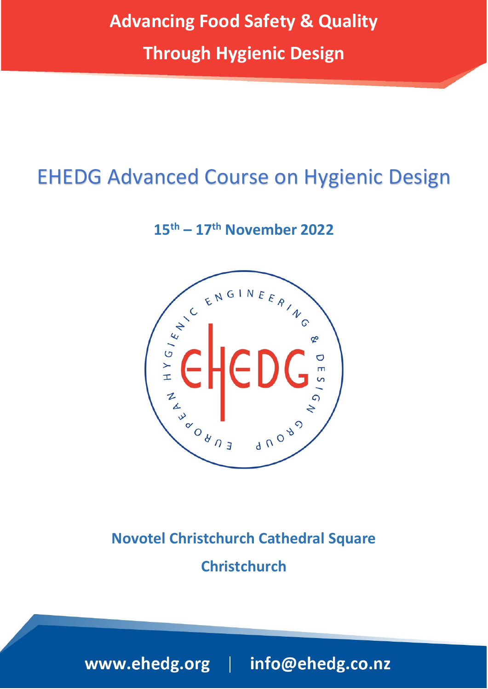# EHEDG Advanced Course on Hygienic Design

**15th – 17th November 2022**



## **Novotel Christchurch Cathedral Square Christchurch**

www.ehedg.org | info@ehedg.co.nz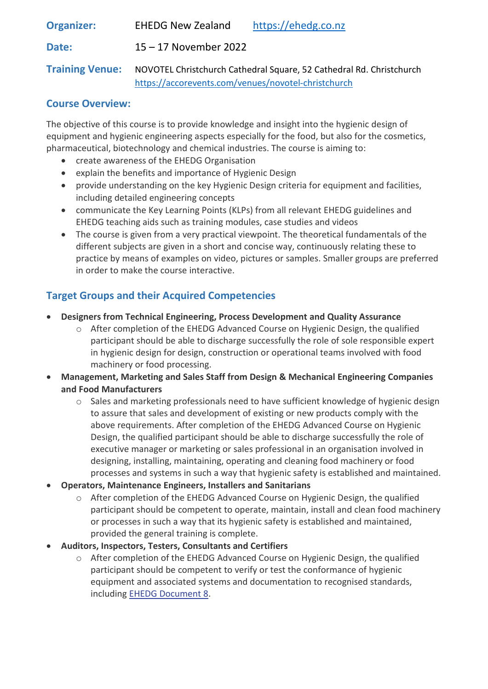| <b>Organizer:</b>      | <b>EHEDG New Zealand</b>                                             | https://ehedg.co.nz |
|------------------------|----------------------------------------------------------------------|---------------------|
| Date:                  | $15 - 17$ November 2022                                              |                     |
| <b>Training Venue:</b> | NOVOTEL Christchurch Cathedral Square, 52 Cathedral Rd. Christchurch |                     |

#### <https://accorevents.com/venues/novotel-christchurch>

## **Course Overview:**

The objective of this course is to provide knowledge and insight into the hygienic design of equipment and hygienic engineering aspects especially for the food, but also for the cosmetics, pharmaceutical, biotechnology and chemical industries. The course is aiming to:

- create awareness of the EHEDG Organisation
- explain the benefits and importance of Hygienic Design
- provide understanding on the key Hygienic Design criteria for equipment and facilities, including detailed engineering concepts
- communicate the Key Learning Points (KLPs) from all relevant EHEDG guidelines and EHEDG teaching aids such as training modules, case studies and videos
- The course is given from a very practical viewpoint. The theoretical fundamentals of the different subjects are given in a short and concise way, continuously relating these to practice by means of examples on video, pictures or samples. Smaller groups are preferred in order to make the course interactive.

## **Target Groups and their Acquired Competencies**

- **Designers from Technical Engineering, Process Development and Quality Assurance**
	- $\circ$  After completion of the EHEDG Advanced Course on Hygienic Design, the qualified participant should be able to discharge successfully the role of sole responsible expert in hygienic design for design, construction or operational teams involved with food machinery or food processing.
- **Management, Marketing and Sales Staff from Design & Mechanical Engineering Companies and Food Manufacturers**
	- $\circ$  Sales and marketing professionals need to have sufficient knowledge of hygienic design to assure that sales and development of existing or new products comply with the above requirements. After completion of the EHEDG Advanced Course on Hygienic Design, the qualified participant should be able to discharge successfully the role of executive manager or marketing or sales professional in an organisation involved in designing, installing, maintaining, operating and cleaning food machinery or food processes and systems in such a way that hygienic safety is established and maintained.
- **Operators, Maintenance Engineers, Installers and Sanitarians**
	- $\circ$  After completion of the EHEDG Advanced Course on Hygienic Design, the qualified participant should be competent to operate, maintain, install and clean food machinery or processes in such a way that its hygienic safety is established and maintained, provided the general training is complete.
- **Auditors, Inspectors, Testers, Consultants and Certifiers**
	- o After completion of the EHEDG Advanced Course on Hygienic Design, the qualified participant should be competent to verify or test the conformance of hygienic equipment and associated systems and documentation to recognised standards, including [EHEDG Document 8.](https://www.ehedg.org/guidelines/free-documents/)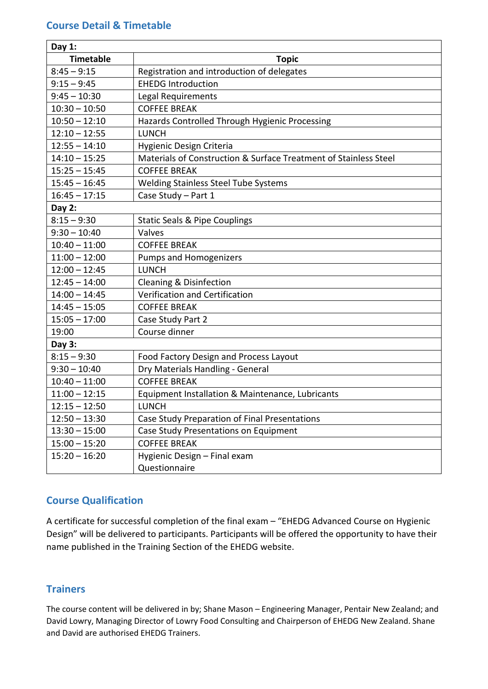### **Course Detail & Timetable**

| Day $1:$         |                                                                  |  |  |
|------------------|------------------------------------------------------------------|--|--|
| <b>Timetable</b> | <b>Topic</b>                                                     |  |  |
| $8:45 - 9:15$    | Registration and introduction of delegates                       |  |  |
| $9:15 - 9:45$    | <b>EHEDG Introduction</b>                                        |  |  |
| $9:45 - 10:30$   | Legal Requirements                                               |  |  |
| $10:30 - 10:50$  | <b>COFFEE BREAK</b>                                              |  |  |
| $10:50 - 12:10$  | Hazards Controlled Through Hygienic Processing                   |  |  |
| $12:10 - 12:55$  | <b>LUNCH</b>                                                     |  |  |
| $12:55 - 14:10$  | Hygienic Design Criteria                                         |  |  |
| $14:10 - 15:25$  | Materials of Construction & Surface Treatment of Stainless Steel |  |  |
| $15:25 - 15:45$  | <b>COFFEE BREAK</b>                                              |  |  |
| $15:45 - 16:45$  | Welding Stainless Steel Tube Systems                             |  |  |
| $16:45 - 17:15$  | Case Study - Part 1                                              |  |  |
| Day 2:           |                                                                  |  |  |
| $8:15 - 9:30$    | <b>Static Seals &amp; Pipe Couplings</b>                         |  |  |
| $9:30 - 10:40$   | Valves                                                           |  |  |
| $10:40 - 11:00$  | <b>COFFEE BREAK</b>                                              |  |  |
| $11:00 - 12:00$  | <b>Pumps and Homogenizers</b>                                    |  |  |
| $12:00 - 12:45$  | <b>LUNCH</b>                                                     |  |  |
| $12:45 - 14:00$  | <b>Cleaning &amp; Disinfection</b>                               |  |  |
| $14:00 - 14:45$  | Verification and Certification                                   |  |  |
| $14:45 - 15:05$  | <b>COFFEE BREAK</b>                                              |  |  |
| $15:05 - 17:00$  | Case Study Part 2                                                |  |  |
| 19:00            | Course dinner                                                    |  |  |
| Day 3:           |                                                                  |  |  |
| $8:15 - 9:30$    | Food Factory Design and Process Layout                           |  |  |
| $9:30 - 10:40$   | Dry Materials Handling - General                                 |  |  |
| $10:40 - 11:00$  | <b>COFFEE BREAK</b>                                              |  |  |
| $11:00 - 12:15$  | Equipment Installation & Maintenance, Lubricants                 |  |  |
| $12:15 - 12:50$  | <b>LUNCH</b>                                                     |  |  |
| $12:50 - 13:30$  | Case Study Preparation of Final Presentations                    |  |  |
| $13:30 - 15:00$  | Case Study Presentations on Equipment                            |  |  |
| $15:00 - 15:20$  | <b>COFFEE BREAK</b>                                              |  |  |
| $15:20 - 16:20$  | Hygienic Design - Final exam                                     |  |  |
|                  | Questionnaire                                                    |  |  |

## **Course Qualification**

A certificate for successful completion of the final exam – "EHEDG Advanced Course on Hygienic Design" will be delivered to participants. Participants will be offered the opportunity to have their name published in the Training Section of the EHEDG website.

## **Trainers**

The course content will be delivered in by; Shane Mason – Engineering Manager, Pentair New Zealand; and David Lowry, Managing Director of Lowry Food Consulting and Chairperson of EHEDG New Zealand. Shane and David are authorised EHEDG Trainers.